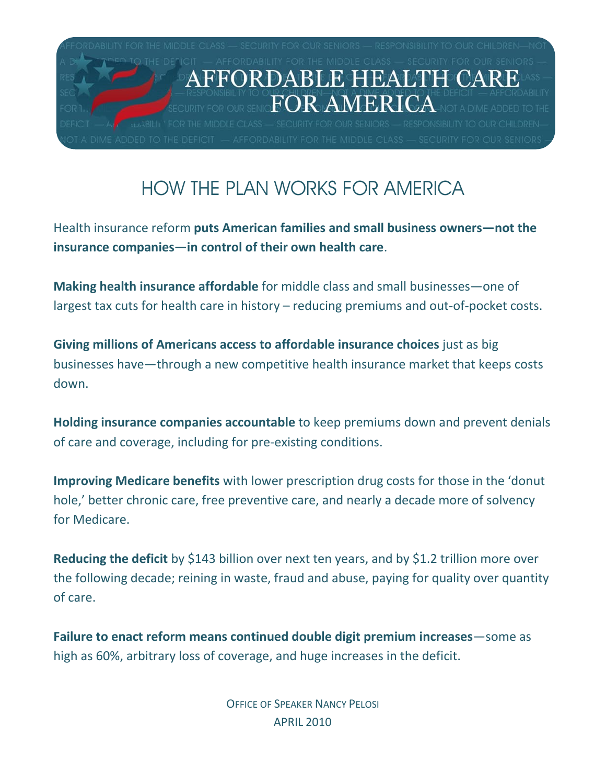

## HOW THE PLAN WORKS FOR AMERICA

Health insurance reform **puts American families and small business owners—not the insurance companies—in control of their own health care**.

**Making health insurance affordable** for middle class and small businesses—one of largest tax cuts for health care in history – reducing premiums and out-of-pocket costs.

**Giving millions of Americans access to affordable insurance choices** just as big businesses have—through a new competitive health insurance market that keeps costs down.

**Holding insurance companies accountable** to keep premiums down and prevent denials of care and coverage, including for pre-existing conditions.

**Improving Medicare benefits** with lower prescription drug costs for those in the 'donut hole,' better chronic care, free preventive care, and nearly a decade more of solvency for Medicare.

**Reducing the deficit** by \$143 billion over next ten years, and by \$1.2 trillion more over the following decade; reining in waste, fraud and abuse, paying for quality over quantity of care.

**Failure to enact reform means continued double digit premium increases**—some as high as 60%, arbitrary loss of coverage, and huge increases in the deficit.

> OFFICE OF SPEAKER NANCY PELOSI APRIL 2010